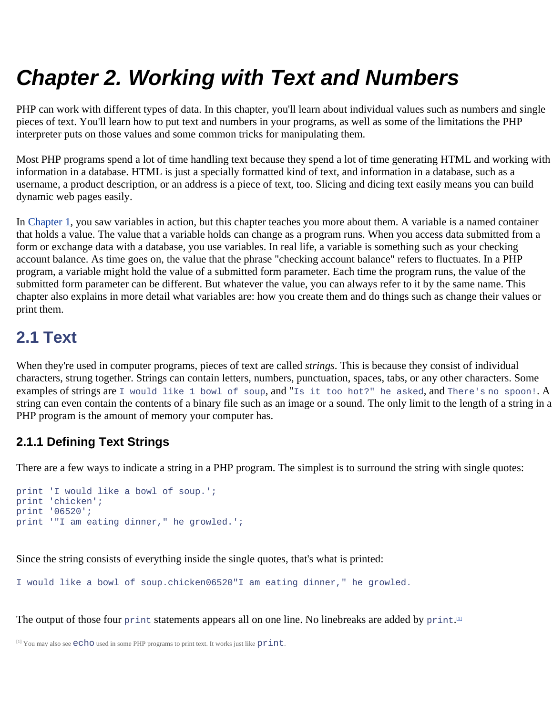# *Chapter 2. Working with Text and Numbers*

PHP can work with different types of data. In this chapter, you'll learn about individual values such as numbers and single pieces of text. You'll learn how to put text and numbers in your programs, as well as some of the limitations the PHP interpreter puts on those values and some common tricks for manipulating them.

Most PHP programs spend a lot of time handling text because they spend a lot of time generating HTML and working with information in a database. HTML is just a specially formatted kind of text, and information in a database, such as a username, a product description, or an address is a piece of text, too. Slicing and dicing text easily means you can build dynamic web pages easily.

In Chapter 1, you saw variables in action, but this chapter teaches you more about them. A variable is a named container that holds a value. The value that a variable holds can change as a program runs. When you access data submitted from a form or exchange data with a database, you use variables. In real life, a variable is something such as your checking account balance. As time goes on, the value that the phrase "checking account balance" refers to fluctuates. In a PHP program, a variable might hold the value of a submitted form parameter. Each time the program runs, the value of the submitted form parameter can be different. But whatever the value, you can always refer to it by the same name. This chapter also explains in more detail what variables are: how you create them and do things such as change their values or print them.

# **2.1 Text**

When they're used in computer programs, pieces of text are called *strings*. This is because they consist of individual characters, strung together. Strings can contain letters, numbers, punctuation, spaces, tabs, or any other characters. Some examples of strings are I would like 1 bowl of soup, and "Is it too hot?" he asked, and There's no spoon!. A string can even contain the contents of a binary file such as an image or a sound. The only limit to the length of a string in a PHP program is the amount of memory your computer has.

## **2.1.1 Defining Text Strings**

There are a few ways to indicate a string in a PHP program. The simplest is to surround the string with single quotes:

```
print 'I would like a bowl of soup.'; 
print 'chicken'; 
print '06520'; 
print '"I am eating dinner," he growled.';
```
Since the string consists of everything inside the single quotes, that's what is printed:

I would like a bowl of soup.chicken06520"I am eating dinner," he growled.

The output of those four print statements appears all on one line. No linebreaks are added by print.<sup>11</sup>

<sup>&</sup>lt;sup>[1]</sup> You may also see echo used in some PHP programs to print text. It works just like  $print$ .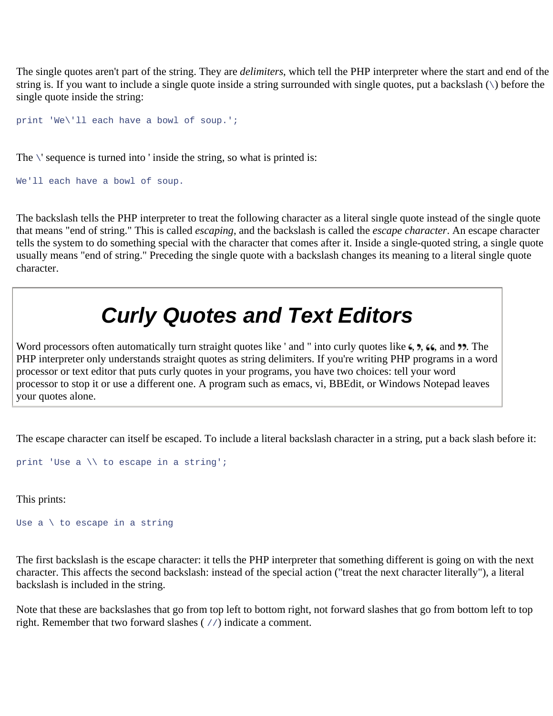The single quotes aren't part of the string. They are *delimiters*, which tell the PHP interpreter where the start and end of the string is. If you want to include a single quote inside a string surrounded with single quotes, put a backslash (\) before the single quote inside the string:

print 'We\'ll each have a bowl of soup.';

The  $\vee$  sequence is turned into ' inside the string, so what is printed is:

We'll each have a bowl of soup.

The backslash tells the PHP interpreter to treat the following character as a literal single quote instead of the single quote that means "end of string." This is called *escaping*, and the backslash is called the *escape character*. An escape character tells the system to do something special with the character that comes after it. Inside a single-quoted string, a single quote usually means "end of string." Preceding the single quote with a backslash changes its meaning to a literal single quote character.

# *Curly Quotes and Text Editors*

Word processors often automatically turn straight quotes like ' and " into curly quotes like  $\epsilon$ ,  $\epsilon$ ,  $\epsilon$ , and  $\epsilon$ . The PHP interpreter only understands straight quotes as string delimiters. If you're writing PHP programs in a word processor or text editor that puts curly quotes in your programs, you have two choices: tell your word processor to stop it or use a different one. A program such as emacs, vi, BBEdit, or Windows Notepad leaves your quotes alone.

The escape character can itself be escaped. To include a literal backslash character in a string, put a back slash before it:

```
print 'Use a \\ to escape in a string';
```
This prints:

```
Use a \setminus to escape in a string
```
The first backslash is the escape character: it tells the PHP interpreter that something different is going on with the next character. This affects the second backslash: instead of the special action ("treat the next character literally"), a literal backslash is included in the string.

Note that these are backslashes that go from top left to bottom right, not forward slashes that go from bottom left to top right. Remember that two forward slashes ( //) indicate a comment.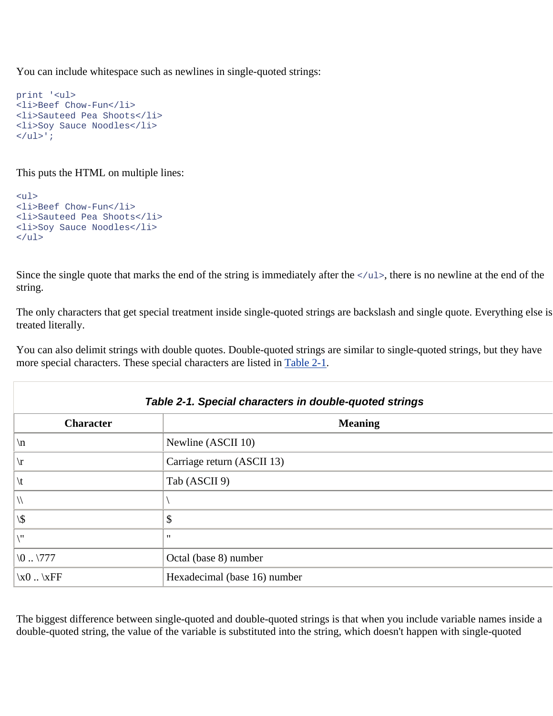You can include whitespace such as newlines in single-quoted strings:

```
print '<ul> 
<li>Beef Chow-Fun</li> 
<li>Sauteed Pea Shoots</li> 
<li>Soy Sauce Noodles</li> 
\langle \text{ul}\rangle';
```
This puts the HTML on multiple lines:

```
\langle u \rangle<li>Beef Chow-Fun</li> 
<li>Sauteed Pea Shoots</li> 
<li>Soy Sauce Noodles</li> 
\langle u1 \rangle
```
Since the single quote that marks the end of the string is immediately after the  $\langle \text{UL}\rangle$ , there is no newline at the end of the string.

The only characters that get special treatment inside single-quoted strings are backslash and single quote. Everything else is treated literally.

You can also delimit strings with double quotes. Double-quoted strings are similar to single-quoted strings, but they have more special characters. These special characters are listed in Table 2-1.

| Table 2-1. Special characters in double-quoted strings |                              |  |
|--------------------------------------------------------|------------------------------|--|
| <b>Character</b>                                       | <b>Meaning</b>               |  |
| $\ln$                                                  | Newline (ASCII 10)           |  |
| \r                                                     | Carriage return (ASCII 13)   |  |
|                                                        | Tab (ASCII 9)                |  |
|                                                        |                              |  |
| $\sqrt{3}$                                             | \$                           |  |
| $^{\prime\prime}$                                      | $^{\prime\prime}$            |  |
| $\langle 0 \langle 777$                                | Octal (base 8) number        |  |
| $\x0$ . $xFF$                                          | Hexadecimal (base 16) number |  |

The biggest difference between single-quoted and double-quoted strings is that when you include variable names inside a double-quoted string, the value of the variable is substituted into the string, which doesn't happen with single-quoted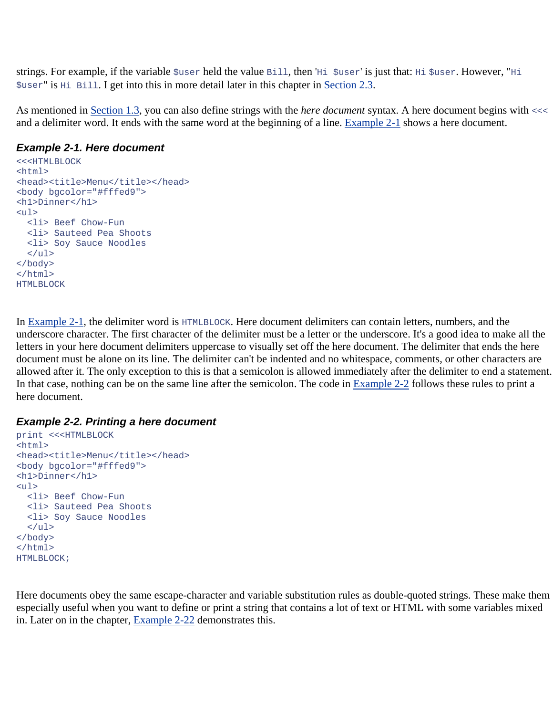strings. For example, if the variable \$user held the value Bill, then 'Hi \$user' is just that: Hi \$user. However, "Hi \$user" is Hi Bill. I get into this in more detail later in this chapter in Section 2.3.

As mentioned in Section 1.3, you can also define strings with the *here document* syntax. A here document begins with <<< and a delimiter word. It ends with the same word at the beginning of a line. Example 2-1 shows a here document.

#### *Example 2-1. Here document*

```
<<<HTMLBLOCK 
<html> 
<head><title>Menu</title></head> 
<body bgcolor="#fffed9"> 
<h1>Dinner</h1> 
<ul> 
   <li> Beef Chow-Fun 
   <li> Sauteed Pea Shoots 
   <li> Soy Sauce Noodles 
  \langle \text{ul}\rangle</body> 
</html> 
HTMLBLOCK
```
In Example 2-1, the delimiter word is  $HTMLBLOCK$ . Here document delimiters can contain letters, numbers, and the underscore character. The first character of the delimiter must be a letter or the underscore. It's a good idea to make all the letters in your here document delimiters uppercase to visually set off the here document. The delimiter that ends the here document must be alone on its line. The delimiter can't be indented and no whitespace, comments, or other characters are allowed after it. The only exception to this is that a semicolon is allowed immediately after the delimiter to end a statement. In that case, nothing can be on the same line after the semicolon. The code in Example 2-2 follows these rules to print a here document.

#### *Example 2-2. Printing a here document*

```
print <<<HTMLBLOCK 
<html> 
<head><title>Menu</title></head>
<body bgcolor="#fffed9"> 
<h1>Dinner</h1> 
<ul> 
   <li> Beef Chow-Fun 
   <li> Sauteed Pea Shoots 
   <li> Soy Sauce Noodles 
  \langle \text{ul}\rangle</body> 
</html> 
HTMLBLOCK;
```
Here documents obey the same escape-character and variable substitution rules as double-quoted strings. These make them especially useful when you want to define or print a string that contains a lot of text or HTML with some variables mixed in. Later on in the chapter, **Example 2-22** demonstrates this.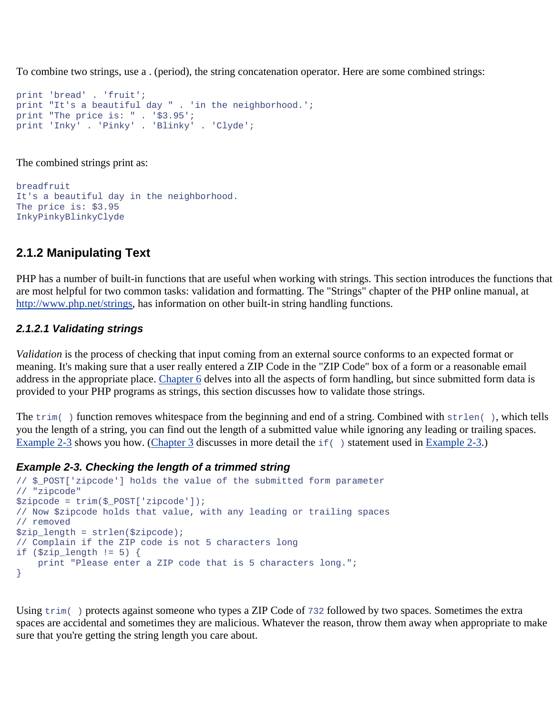To combine two strings, use a . (period), the string concatenation operator. Here are some combined strings:

```
print 'bread' . 'fruit'; 
print "It's a beautiful day " . 'in the neighborhood.'; 
print "The price is: " . '$3.95';
print 'Inky' . 'Pinky' . 'Blinky' . 'Clyde';
```
The combined strings print as:

breadfruit It's a beautiful day in the neighborhood. The price is: \$3.95 InkyPinkyBlinkyClyde

## **2.1.2 Manipulating Text**

PHP has a number of built-in functions that are useful when working with strings. This section introduces the functions that are most helpful for two common tasks: validation and formatting. The "Strings" chapter of the PHP online manual, at http://www.php.net/strings, has information on other built-in string handling functions.

#### *2.1.2.1 Validating strings*

*Validation* is the process of checking that input coming from an external source conforms to an expected format or meaning. It's making sure that a user really entered a ZIP Code in the "ZIP Code" box of a form or a reasonable email address in the appropriate place. Chapter 6 delves into all the aspects of form handling, but since submitted form data is provided to your PHP programs as strings, this section discusses how to validate those strings.

The trim( ) function removes whitespace from the beginning and end of a string. Combined with strlen( ), which tells you the length of a string, you can find out the length of a submitted value while ignoring any leading or trailing spaces. Example 2-3 shows you how. (Chapter 3 discusses in more detail the if() statement used in Example 2-3.)

#### *Example 2-3. Checking the length of a trimmed string*

```
// $_POST['zipcode'] holds the value of the submitted form parameter 
// "zipcode" 
$zipcode = trim($_POST['zipcode']); 
// Now $zipcode holds that value, with any leading or trailing spaces 
// removed 
$zip length = strlen($zipcode);// Complain if the ZIP code is not 5 characters long 
if (\frac{2}{3}if \frac{1}{2} print "Please enter a ZIP code that is 5 characters long."; 
}
```
Using trim() protects against someone who types a ZIP Code of 732 followed by two spaces. Sometimes the extra spaces are accidental and sometimes they are malicious. Whatever the reason, throw them away when appropriate to make sure that you're getting the string length you care about.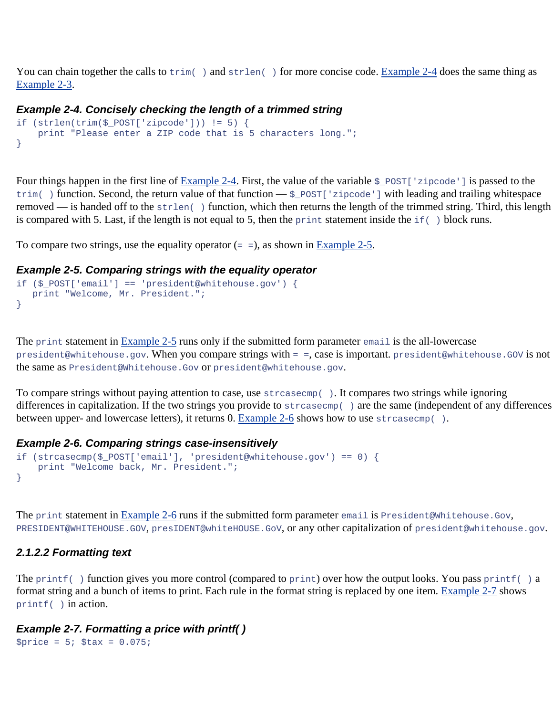You can chain together the calls to trim() and strlen() for more concise code. Example 2-4 does the same thing as Example 2-3.

#### *Example 2-4. Concisely checking the length of a trimmed string*

```
if (strlen(trim($ POST['zipcode'])) != 5) {
    print "Please enter a ZIP code that is 5 characters long."; 
}
```
Four things happen in the first line of Example 2-4. First, the value of the variable  $\zeta$ -POST['zipcode'] is passed to the trim() function. Second, the return value of that function —  $\zeta_P$   $\cos$ <sup>r</sup>['zipcode'] with leading and trailing whitespace removed — is handed off to the strlen( ) function, which then returns the length of the trimmed string. Third, this length is compared with 5. Last, if the length is not equal to 5, then the print statement inside the  $if( )$  block runs.

To compare two strings, use the equality operator  $(= -)$ , as shown in Example 2-5.

#### *Example 2-5. Comparing strings with the equality operator*

```
if ($_POST['email'] == 'president@whitehouse.gov') { 
   print "Welcome, Mr. President."; 
}
```
The print statement in **Example 2-5** runs only if the submitted form parameter email is the all-lowercase president@whitehouse.gov. When you compare strings with = =, case is important. president@whitehouse.GOV is not the same as President@Whitehouse.Gov or president@whitehouse.gov.

To compare strings without paying attention to case, use strcasecmp( ). It compares two strings while ignoring differences in capitalization. If the two strings you provide to strcasecmp( ) are the same (independent of any differences between upper- and lowercase letters), it returns 0. Example 2-6 shows how to use streasecmp().

#### *Example 2-6. Comparing strings case-insensitively*

```
if (strcasecmp($_POST['email'], 'president@whitehouse.gov') == 0) { 
    print "Welcome back, Mr. President."; 
}
```
The print statement in **Example 2-6** runs if the submitted form parameter email is President@Whitehouse.Gov, PRESIDENT@WHITEHOUSE.GOV, presIDENT@whiteHOUSE.GoV, or any other capitalization of president@whitehouse.gov.

#### *2.1.2.2 Formatting text*

The printf() function gives you more control (compared to print) over how the output looks. You pass printf() a format string and a bunch of items to print. Each rule in the format string is replaced by one item. Example 2-7 shows printf( ) in action.

#### *Example 2-7. Formatting a price with printf( )*

```
$price = 5; $tax = 0.075;
```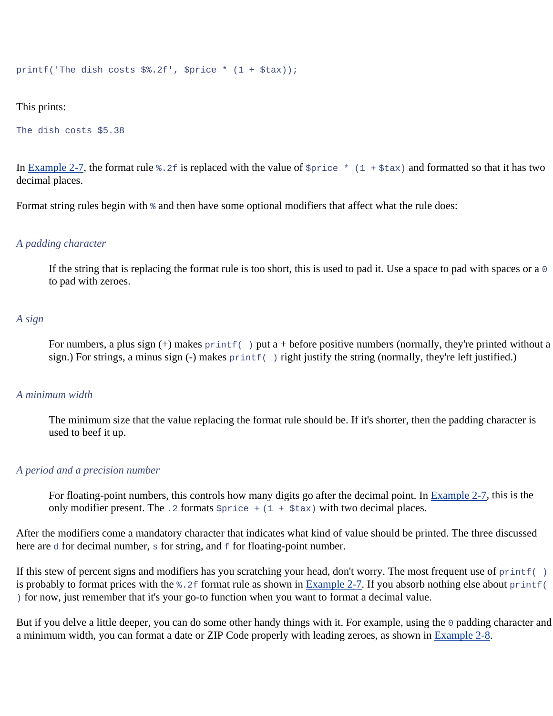printf('The dish costs \$%.2f', \$price \* (1 + \$tax));

This prints:

The dish costs \$5.38

In Example 2-7, the format rule  $\ast$ . 2f is replaced with the value of  $\text{sprice } \ast$  (1 +  $\text{star}$ ) and formatted so that it has two decimal places.

Format string rules begin with  $\frac{1}{2}$  and then have some optional modifiers that affect what the rule does:

#### *A padding character*

If the string that is replacing the format rule is too short, this is used to pad it. Use a space to pad with spaces or a 0 to pad with zeroes.

#### *A sign*

For numbers, a plus sign  $(+)$  makes  $\text{print}$  $(+)$  put a + before positive numbers (normally, they're printed without a sign.) For strings, a minus sign (-) makes  $\text{print}(\cdot)$  right justify the string (normally, they're left justified.)

#### *A minimum width*

The minimum size that the value replacing the format rule should be. If it's shorter, then the padding character is used to beef it up.

#### *A period and a precision number*

For floating-point numbers, this controls how many digits go after the decimal point. In **Example 2-7**, this is the only modifier present. The .2 formats  $\frac{1}{2}$  + (1 +  $\frac{1}{2}$  +  $\frac{1}{2}$ ) with two decimal places.

After the modifiers come a mandatory character that indicates what kind of value should be printed. The three discussed here are  $d$  for decimal number,  $s$  for string, and  $f$  for floating-point number.

If this stew of percent signs and modifiers has you scratching your head, don't worry. The most frequent use of printf( ) is probably to format prices with the  $\frac{2}{5}$ . 2f format rule as shown in Example 2-7. If you absorb nothing else about printf( ) for now, just remember that it's your go-to function when you want to format a decimal value.

But if you delve a little deeper, you can do some other handy things with it. For example, using the 0 padding character and a minimum width, you can format a date or ZIP Code properly with leading zeroes, as shown in Example 2-8.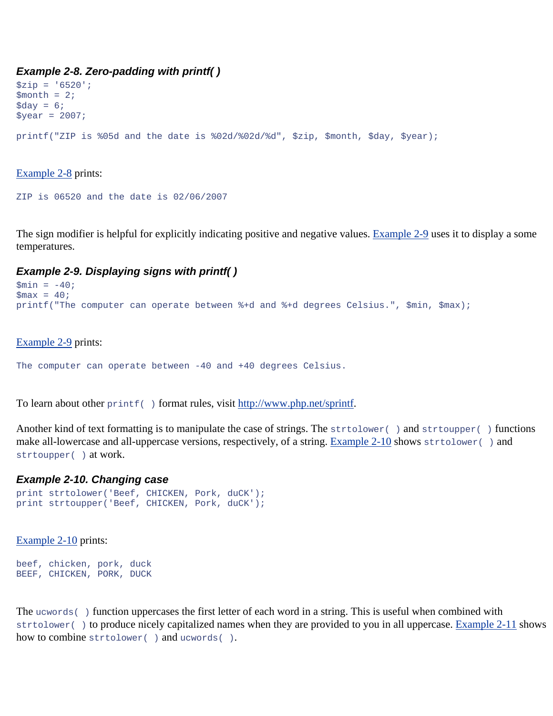*Example 2-8. Zero-padding with printf( )* 

\$zip = '6520';  $$month = 2;$  $\text{day} = 6$ ;  $$year = 2007;$ printf("ZIP is %05d and the date is %02d/%02d/%d", \$zip, \$month, \$day, \$year);

Example 2-8 prints:

ZIP is 06520 and the date is 02/06/2007

The sign modifier is helpful for explicitly indicating positive and negative values. Example 2-9 uses it to display a some temperatures.

#### *Example 2-9. Displaying signs with printf( )*

```
$min = -40;$max = 40;printf("The computer can operate between %+d and %+d degrees Celsius.", $min, $max);
```
#### Example 2-9 prints:

The computer can operate between -40 and +40 degrees Celsius.

To learn about other  $\text{print}(\cdot)$  format rules, visit http://www.php.net/sprintf.

Another kind of text formatting is to manipulate the case of strings. The  $strolower( )$  and  $stroupper( )$  functions make all-lowercase and all-uppercase versions, respectively, of a string. Example 2-10 shows strtolower() and strtoupper( ) at work.

#### *Example 2-10. Changing case*

```
print strtolower('Beef, CHICKEN, Pork, duCK'); 
print strtoupper('Beef, CHICKEN, Pork, duCK');
```
Example 2-10 prints:

beef, chicken, pork, duck BEEF, CHICKEN, PORK, DUCK

The ucwords( ) function uppercases the first letter of each word in a string. This is useful when combined with strtolower() to produce nicely capitalized names when they are provided to you in all uppercase. Example 2-11 shows how to combine strtolower( ) and ucwords( ).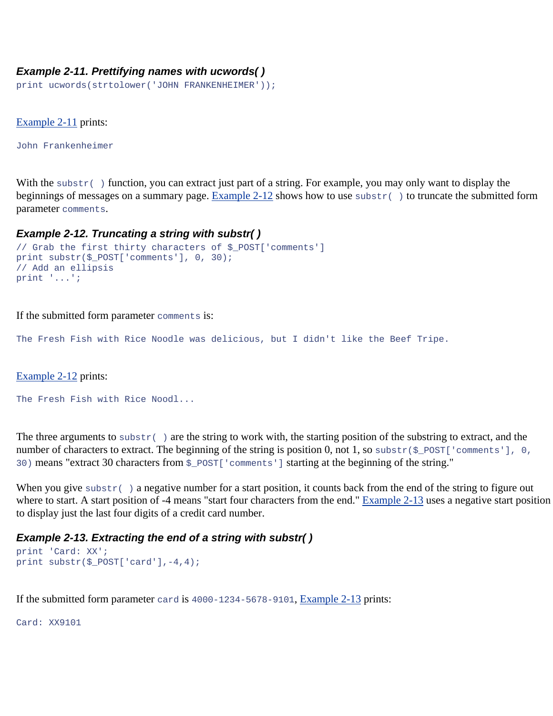#### *Example 2-11. Prettifying names with ucwords( )*

print ucwords(strtolower('JOHN FRANKENHEIMER'));

Example 2-11 prints:

John Frankenheimer

With the substr( $\cdot$ ) function, you can extract just part of a string. For example, you may only want to display the beginnings of messages on a summary page. Example 2-12 shows how to use substr() to truncate the submitted form parameter comments.

#### *Example 2-12. Truncating a string with substr( )*

```
// Grab the first thirty characters of $_POST['comments'] 
print substr($_POST['comments'], 0, 30); 
// Add an ellipsis 
print '...';
```
#### If the submitted form parameter comments is:

The Fresh Fish with Rice Noodle was delicious, but I didn't like the Beef Tripe.

Example 2-12 prints:

The Fresh Fish with Rice Noodl...

The three arguments to substr( $\cdot$ ) are the string to work with, the starting position of the substring to extract, and the number of characters to extract. The beginning of the string is position 0, not 1, so substr( $\zeta$ \_POST['comments'], 0, 30) means "extract 30 characters from \$\_POST['comments'] starting at the beginning of the string."

When you give substr() a negative number for a start position, it counts back from the end of the string to figure out where to start. A start position of -4 means "start four characters from the end." Example 2-13 uses a negative start position to display just the last four digits of a credit card number.

#### *Example 2-13. Extracting the end of a string with substr( )*

```
print 'Card: XX'; 
print substr($_POST['card'],-4,4);
```
If the submitted form parameter card is 4000-1234-5678-9101, Example 2-13 prints:

Card: XX9101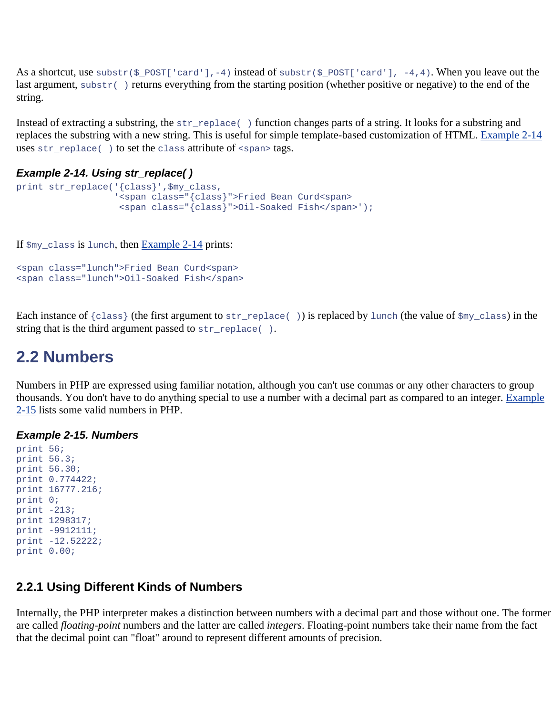As a shortcut, use substr( $\S$ \_POST['card'],-4) instead of substr( $\S$ \_POST['card'], -4,4). When you leave out the last argument, substr() returns everything from the starting position (whether positive or negative) to the end of the string.

Instead of extracting a substring, the str\_replace( ) function changes parts of a string. It looks for a substring and replaces the substring with a new string. This is useful for simple template-based customization of HTML. Example 2-14 uses str\_replace() to set the class attribute of <span> tags.

#### *Example 2-14. Using str\_replace( )*

```
print str_replace('{class}',$my_class, 
                    '<span class="{class}">Fried Bean Curd<span> 
                     <span class="{class}">Oil-Soaked Fish</span>');
```
If  $\gamma_{\text{my}\_\text{class}}$  is lunch, then Example 2-14 prints:

```
<span class="lunch">Fried Bean Curd<span> 
<span class="lunch">Oil-Soaked Fish</span>
```
Each instance of  ${class}$  (the first argument to  $str\_replace( )$ ) is replaced by lunch (the value of  $\frac{3}{5}$  my\_class) in the string that is the third argument passed to  $str\_replace( )$ .

# **2.2 Numbers**

Numbers in PHP are expressed using familiar notation, although you can't use commas or any other characters to group thousands. You don't have to do anything special to use a number with a decimal part as compared to an integer. Example 2-15 lists some valid numbers in PHP.

#### *Example 2-15. Numbers*

print 56; print 56.3; print 56.30; print 0.774422; print 16777.216; print 0; print -213; print 1298317; print -9912111; print -12.52222; print 0.00;

## **2.2.1 Using Different Kinds of Numbers**

Internally, the PHP interpreter makes a distinction between numbers with a decimal part and those without one. The former are called *floating-point* numbers and the latter are called *integers*. Floating-point numbers take their name from the fact that the decimal point can "float" around to represent different amounts of precision.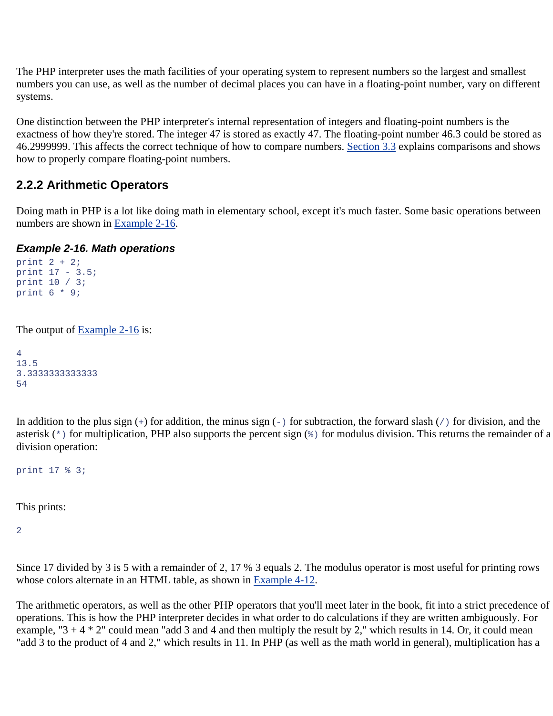The PHP interpreter uses the math facilities of your operating system to represent numbers so the largest and smallest numbers you can use, as well as the number of decimal places you can have in a floating-point number, vary on different systems.

One distinction between the PHP interpreter's internal representation of integers and floating-point numbers is the exactness of how they're stored. The integer 47 is stored as exactly 47. The floating-point number 46.3 could be stored as 46.2999999. This affects the correct technique of how to compare numbers. Section 3.3 explains comparisons and shows how to properly compare floating-point numbers.

## **2.2.2 Arithmetic Operators**

Doing math in PHP is a lot like doing math in elementary school, except it's much faster. Some basic operations between numbers are shown in Example 2-16.

#### *Example 2-16. Math operations*

```
print 2 + 2iprint 17 - 3.5; 
print 10 / 3; 
print 6 * 9;
```
The output of **Example 2-16** is:

```
4 
13.5 
3.3333333333333 
54
```
In addition to the plus sign (+) for addition, the minus sign (-) for subtraction, the forward slash ( $\prime$ ) for division, and the asterisk (\*) for multiplication, PHP also supports the percent sign (%) for modulus division. This returns the remainder of a division operation:

print 17 % 3;

This prints:

2

Since 17 divided by 3 is 5 with a remainder of 2, 17 % 3 equals 2. The modulus operator is most useful for printing rows whose colors alternate in an HTML table, as shown in Example 4-12.

The arithmetic operators, as well as the other PHP operators that you'll meet later in the book, fit into a strict precedence of operations. This is how the PHP interpreter decides in what order to do calculations if they are written ambiguously. For example, " $3 + 4 * 2$ " could mean "add 3 and 4 and then multiply the result by 2," which results in 14. Or, it could mean "add 3 to the product of 4 and 2," which results in 11. In PHP (as well as the math world in general), multiplication has a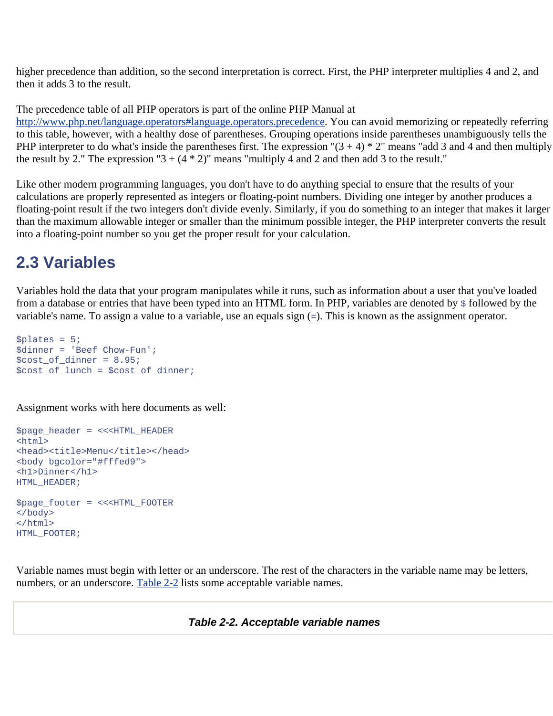higher precedence than addition, so the second interpretation is correct. First, the PHP interpreter multiplies 4 and 2, and then it adds 3 to the result.

The precedence table of all PHP operators is part of the online PHP Manual at

http://www.php.net/language.operators#language.operators.precedence. You can avoid memorizing or repeatedly referring to this table, however, with a healthy dose of parentheses. Grouping operations inside parentheses unambiguously tells the PHP interpreter to do what's inside the parentheses first. The expression " $(3 + 4) * 2$ " means "add 3 and 4 and then multiply the result by 2." The expression "3 +  $(4 * 2)$ " means "multiply 4 and 2 and then add 3 to the result."

Like other modern programming languages, you don't have to do anything special to ensure that the results of your calculations are properly represented as integers or floating-point numbers. Dividing one integer by another produces a floating-point result if the two integers don't divide evenly. Similarly, if you do something to an integer that makes it larger than the maximum allowable integer or smaller than the minimum possible integer, the PHP interpreter converts the result into a floating-point number so you get the proper result for your calculation.

# **2.3 Variables**

Variables hold the data that your program manipulates while it runs, such as information about a user that you've loaded from a database or entries that have been typed into an HTML form. In PHP, variables are denoted by  $$$  followed by the variable's name. To assign a value to a variable, use an equals sign (=). This is known as the assignment operator.

```
$plates = 5;$dinner = 'Beef Chow-Fun'; 
%cost of dinner = 8.95;
$cost_of_lunch = $cost_of_dinner;
```
Assignment works with here documents as well:

```
$page_header = <<<HTML_HEADER 
<html><head><title>Menu</title></head> 
<body bgcolor="#fffed9"> 
<h1>Dinner</h1> 
HTML_HEADER; 
$page_footer = <<<HTML_FOOTER 
</body> 
</html> 
HTML_FOOTER;
```
Variable names must begin with letter or an underscore. The rest of the characters in the variable name may be letters, numbers, or an underscore. Table 2-2 lists some acceptable variable names.

*Table 2-2. Acceptable variable names*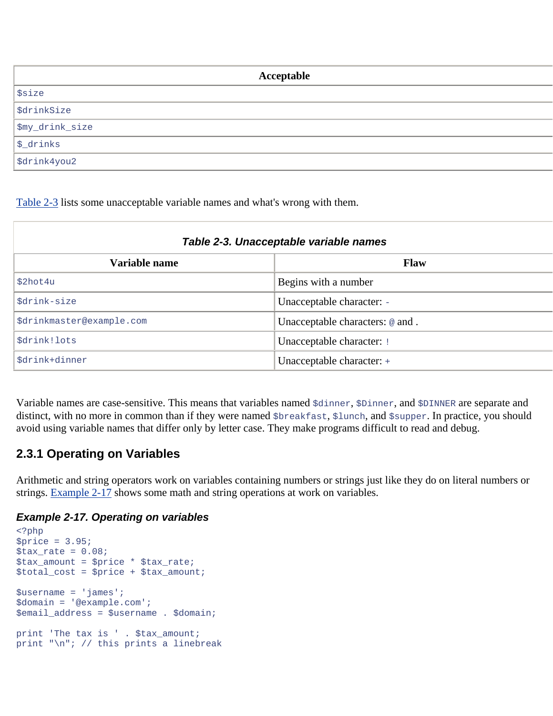| Acceptable                |  |  |
|---------------------------|--|--|
| <i><b>\$size</b></i>      |  |  |
| <i><b>\$drinkSize</b></i> |  |  |
| \$my_drink_size           |  |  |
| \$_drinks                 |  |  |
| \$drink4you2              |  |  |
|                           |  |  |

Table 2-3 lists some unacceptable variable names and what's wrong with them.

| Table 2-3. Unacceptable variable names |                                 |  |
|----------------------------------------|---------------------------------|--|
| Variable name                          | <b>Flaw</b>                     |  |
| \$2hot4u                               | Begins with a number            |  |
| \$drink-size                           | Unacceptable character: -       |  |
| \$drinkmaster@example.com              | Unacceptable characters: @ and. |  |
| \$drink!lots                           | Unacceptable character: !       |  |
| \$drink+dinner                         | Unacceptable character: +       |  |

Variable names are case-sensitive. This means that variables named \$dinner, \$Dinner, and \$DINNER are separate and distinct, with no more in common than if they were named \$breakfast, \$lunch, and \$supper. In practice, you should avoid using variable names that differ only by letter case. They make programs difficult to read and debug.

## **2.3.1 Operating on Variables**

Arithmetic and string operators work on variables containing numbers or strings just like they do on literal numbers or strings. Example 2-17 shows some math and string operations at work on variables.

## *Example 2-17. Operating on variables*

```
<?php 
$price = 3.95;\text{stars rate} = 0.08;
$tax_amount = $price * $tax_rate; 
$total_cost = $price + $tax_amount; 
$username = 'james'; 
$domain = '@example.com'; 
$email address = $username . $domain;
print 'The tax is ' . $tax_amount; 
print "\n| \cdot \n| / this prints a linebreak
```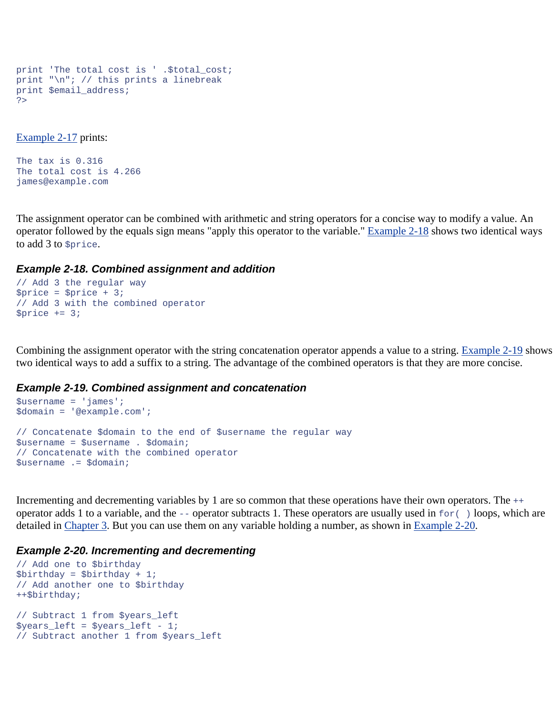```
print 'The total cost is ' .$total_cost; 
print "\n\pi"; // this prints a linebreak
print $email_address; 
?>
```
Example 2-17 prints:

The tax is 0.316 The total cost is 4.266 james@example.com

The assignment operator can be combined with arithmetic and string operators for a concise way to modify a value. An operator followed by the equals sign means "apply this operator to the variable." Example 2-18 shows two identical ways to add 3 to \$price.

#### *Example 2-18. Combined assignment and addition*

```
// Add 3 the regular way 
$price = $price + 3; 
// Add 3 with the combined operator 
$price += 3;
```
Combining the assignment operator with the string concatenation operator appends a value to a string. Example 2-19 shows two identical ways to add a suffix to a string. The advantage of the combined operators is that they are more concise.

#### *Example 2-19. Combined assignment and concatenation*

```
$username = 'james'; 
$domain = '@example.com'; 
// Concatenate $domain to the end of $username the regular way 
$username = $username . $domain; 
// Concatenate with the combined operator 
$username .= $domain;
```
Incrementing and decrementing variables by 1 are so common that these operations have their own operators. The  $++$ operator adds 1 to a variable, and the -- operator subtracts 1. These operators are usually used in for( ) loops, which are detailed in Chapter 3. But you can use them on any variable holding a number, as shown in **Example 2-20**.

#### *Example 2-20. Incrementing and decrementing*

```
// Add one to $birthday 
$birthday = $birthday + 1;// Add another one to $birthday 
++$birthday; 
// Subtract 1 from $years_left 
$years_left = $years_left - 1; 
// Subtract another 1 from $years_left
```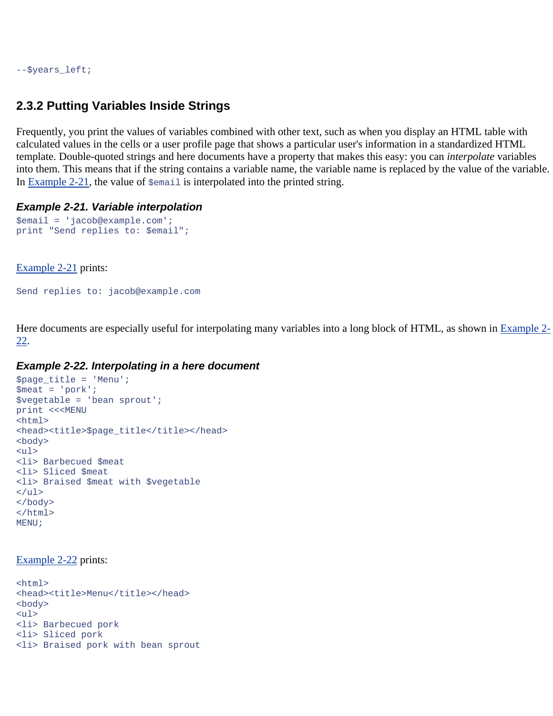--\$years\_left;

### **2.3.2 Putting Variables Inside Strings**

Frequently, you print the values of variables combined with other text, such as when you display an HTML table with calculated values in the cells or a user profile page that shows a particular user's information in a standardized HTML template. Double-quoted strings and here documents have a property that makes this easy: you can *interpolate* variables into them. This means that if the string contains a variable name, the variable name is replaced by the value of the variable. In Example 2-21, the value of  $\frac{1}{2}$  is interpolated into the printed string.

#### *Example 2-21. Variable interpolation*

```
$email = 'jacob@example.com'; 
print "Send replies to: $email";
```
Example 2-21 prints:

```
Send replies to: jacob@example.com
```
Here documents are especially useful for interpolating many variables into a long block of HTML, as shown in Example 2-22.

#### *Example 2-22. Interpolating in a here document*

```
space title = 'Menu';
$meat = 'pork':$vegetable = 'bean sprout'; 
print <<<MENU 
<html> 
<head><title>$page_title</title></head>
<body> 
<ul> 
<li> Barbecued $meat 
<li> Sliced $meat 
<li> Braised $meat with $vegetable 
\langle/ul>
</body> 
</html> 
MENU;
```
#### Example 2-22 prints:

 $<$ html $>$ <head><title>Menu</title></head> <body> <ul> <li> Barbecued pork <li> Sliced pork <li> Braised pork with bean sprout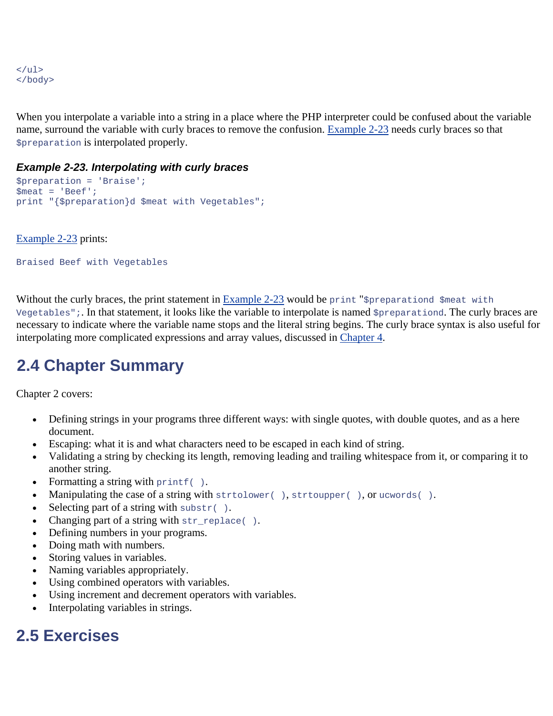$\langle u1 \rangle$ </body>

When you interpolate a variable into a string in a place where the PHP interpreter could be confused about the variable name, surround the variable with curly braces to remove the confusion. Example 2-23 needs curly braces so that \$preparation is interpolated properly.

#### *Example 2-23. Interpolating with curly braces*

```
$preparation = 'Braise'; 
$meat = 'Beef';print "{$preparation}d $meat with Vegetables";
```
Example 2-23 prints:

```
Braised Beef with Vegetables
```
Without the curly braces, the print statement in  $Example 2-23$  would be print "\$preparationd \$meat with Vegetables";. In that statement, it looks like the variable to interpolate is named \$preparationd. The curly braces are necessary to indicate where the variable name stops and the literal string begins. The curly brace syntax is also useful for interpolating more complicated expressions and array values, discussed in Chapter 4.

# **2.4 Chapter Summary**

Chapter 2 covers:

- Defining strings in your programs three different ways: with single quotes, with double quotes, and as a here document.
- Escaping: what it is and what characters need to be escaped in each kind of string.
- Validating a string by checking its length, removing leading and trailing whitespace from it, or comparing it to another string.
- Formatting a string with  $print()$ .
- Manipulating the case of a string with strtolower(), strtoupper(), or ucwords().
- Selecting part of a string with  $\text{substr}(\ )$ .
- Changing part of a string with  $str\_replace( )$ .
- Defining numbers in your programs.
- Doing math with numbers.
- Storing values in variables.
- Naming variables appropriately.
- Using combined operators with variables.
- Using increment and decrement operators with variables.
- Interpolating variables in strings.

# **2.5 Exercises**